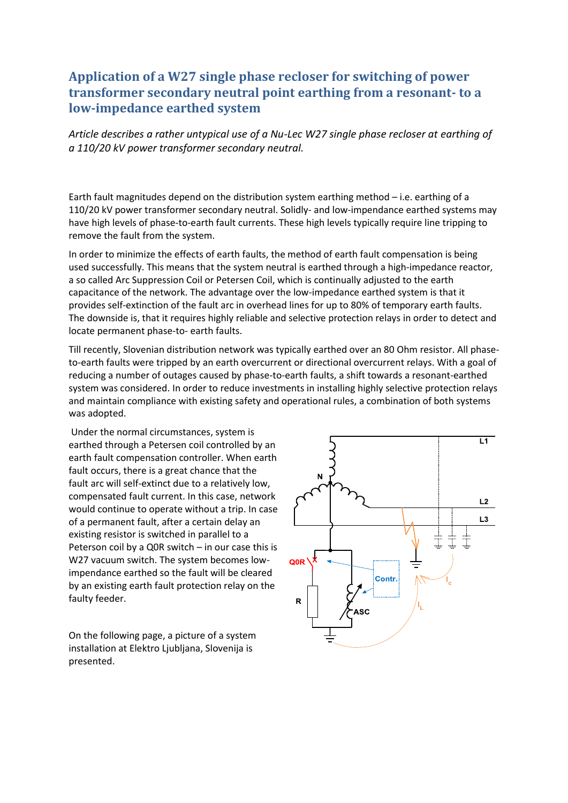## **Application of a W27 single phase recloser for switching of power transformer secondary neutral point earthing from a resonant- to a low-impedance earthed system**

*Article describes a rather untypical use of a Nu-Lec W27 single phase recloser at earthing of a 110/20 kV power transformer secondary neutral.*

Earth fault magnitudes depend on the distribution system earthing method – i.e. earthing of a 110/20 kV power transformer secondary neutral. Solidly- and low-impendance earthed systems may have high levels of phase-to-earth fault currents. These high levels typically require line tripping to remove the fault from the system.

In order to minimize the effects of earth faults, the method of earth fault compensation is being used successfully. This means that the system neutral is earthed through a high-impedance reactor, a so called Arc Suppression Coil or Petersen Coil, which is continually adjusted to the earth capacitance of the network. The advantage over the low-impedance earthed system is that it provides self-extinction of the fault arc in overhead lines for up to 80% of temporary earth faults. The downside is, that it requires highly reliable and selective protection relays in order to detect and locate permanent phase-to- earth faults.

Till recently, Slovenian distribution network was typically earthed over an 80 Ohm resistor. All phaseto-earth faults were tripped by an earth overcurrent or directional overcurrent relays. With a goal of reducing a number of outages caused by phase-to-earth faults, a shift towards a resonant-earthed system was considered. In order to reduce investments in installing highly selective protection relays and maintain compliance with existing safety and operational rules, a combination of both systems was adopted.

Under the normal circumstances, system is earthed through a Petersen coil controlled by an earth fault compensation controller. When earth fault occurs, there is a great chance that the fault arc will self-extinct due to a relatively low, compensated fault current. In this case, network would continue to operate without a trip. In case of a permanent fault, after a certain delay an existing resistor is switched in parallel to a Peterson coil by a Q0R switch – in our case this is W27 vacuum switch. The system becomes lowimpendance earthed so the fault will be cleared by an existing earth fault protection relay on the faulty feeder.

On the following page, a picture of a system installation at Elektro Ljubljana, Slovenija is presented.